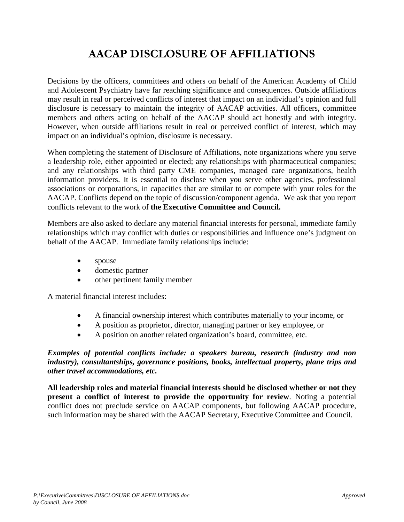# **AACAP DISCLOSURE OF AFFILIATIONS**

Decisions by the officers, committees and others on behalf of the American Academy of Child and Adolescent Psychiatry have far reaching significance and consequences. Outside affiliations may result in real or perceived conflicts of interest that impact on an individual's opinion and full disclosure is necessary to maintain the integrity of AACAP activities. All officers, committee members and others acting on behalf of the AACAP should act honestly and with integrity. However, when outside affiliations result in real or perceived conflict of interest, which may impact on an individual's opinion, disclosure is necessary.

When completing the statement of Disclosure of Affiliations, note organizations where you serve a leadership role, either appointed or elected; any relationships with pharmaceutical companies; and any relationships with third party CME companies, managed care organizations, health information providers. It is essential to disclose when you serve other agencies, professional associations or corporations, in capacities that are similar to or compete with your roles for the AACAP. Conflicts depend on the topic of discussion/component agenda. We ask that you report conflicts relevant to the work of **the Executive Committee and Council.**

Members are also asked to declare any material financial interests for personal, immediate family relationships which may conflict with duties or responsibilities and influence one's judgment on behalf of the AACAP. Immediate family relationships include:

- spouse
- domestic partner
- other pertinent family member

A material financial interest includes:

- A financial ownership interest which contributes materially to your income, or
- A position as proprietor, director, managing partner or key employee, or
- A position on another related organization's board, committee, etc.

*Examples of potential conflicts include: a speakers bureau, research (industry and non industry), consultantships, governance positions, books, intellectual property, plane trips and other travel accommodations, etc.*

**All leadership roles and material financial interests should be disclosed whether or not they present a conflict of interest to provide the opportunity for review**. Noting a potential conflict does not preclude service on AACAP components, but following AACAP procedure, such information may be shared with the AACAP Secretary, Executive Committee and Council.